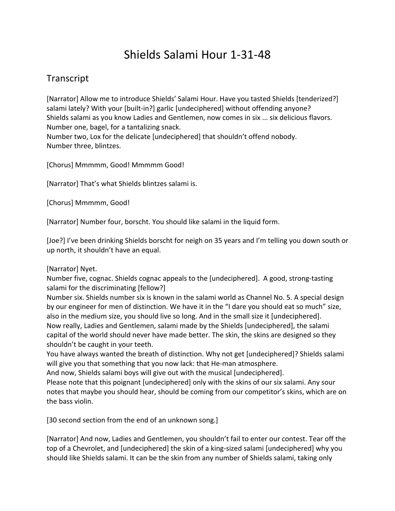## Shields Salami Hour 1-31-48

## Transcript

[Narrator] Allow me to introduce Shields' Salami Hour. Have you tasted Shields [tenderized?] salami lately? With your [built-in?] garlic [undeciphered] without offending anyone? Shields salami as you know Ladies and Gentlemen, now comes in six ... six delicious flavors. Number one, bagel, for a tantalizing snack. Number two, Lox for the delicate [undeciphered] that shouldn't offend nobody. Number three, blintzes.

[Chorus] Mmmmm, Good! Mmmmm Good!

[Narrator] That's what Shields blintzes salami is.

[Chorus] Mmmmm, Good!

[Narrator] Number four, borscht. You should like salami in the liquid form.

[Joe?] I've been drinking Shields borscht for neigh on 35 years and I'm telling you down south or up north, it shouldn't have an equal.

## [Narrator] Nyet.

Number five, cognac. Shields cognac appeals to the [undeciphered]. A good, strong-tasting salami for the discriminating [fellow?]

Number six. Shields number six is known in the salami world as Channel No. 5. A special design by our engineer for men of distinction. We have it in the "I dare you should eat so much" size, also in the medium size, you should live so long. And in the small size it [undeciphered]. Now really, Ladies and Gentlemen, salami made by the Shields [undeciphered], the salami capital of the world should never have made better. The skin, the skins are designed so they shouldn't be caught in your teeth.

You have always wanted the breath of distinction. Why not get [undeciphered]? Shields salami will give you that something that you now lack: that He-man atmosphere.

And now, Shields salami boys will give out with the musical [undeciphered].

Please note that this poignant [undeciphered] only with the skins of our six salami. Any sour notes that maybe you should hear, should be coming from our competitor's skins, which are on the bass violin.

[30 second section from the end of an unknown song.]

[Narrator] And now, Ladies and Gentlemen, you shouldn't fail to enter our contest. Tear off the top of a Chevrolet, and [undeciphered] the skin of a king-sized salami [undeciphered] why you should like Shields salami. It can be the skin from any number of Shields salami, taking only